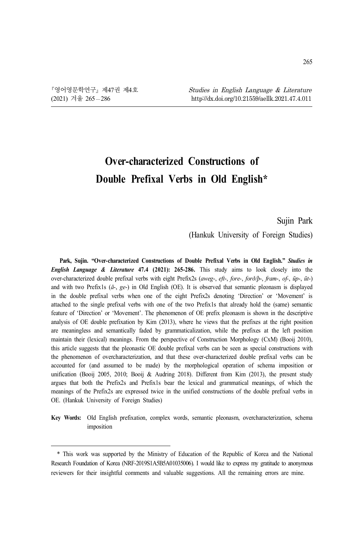# **Over-characterized Constructions of Double Prefixal Verbs in Old English\*<sup>1</sup>**

#### Sujin Park

(Hankuk University of Foreign Studies)

**Park, Sujin. "Over-characterized Constructions of Double Prefixal Verbs in Old English."** *Studies in English Language & Literature* **47.4 (2021): 265-286.** This study aims to look closely into the over-characterized double prefixal verbs with eight Prefix2s (*aweg*-, *eft*-, *fore-*, *forð/þ*-, *fram*-, *of-*, *ūp*-, *ūt*-) and with two Prefix1s (*ā*-, *ge*-) in Old English (OE). It is observed that semantic pleonasm is displayed in the double prefixal verbs when one of the eight Prefix2s denoting 'Direction' or 'Movement' is attached to the single prefixal verbs with one of the two Prefix1s that already hold the (same) semantic feature of 'Direction' or 'Movement'. The phenomenon of OE prefix pleonasm is shown in the descriptive analysis of OE double prefixation by Kim (2013), where he views that the prefixes at the right position are meaningless and semantically faded by grammaticalization, while the prefixes at the left position maintain their (lexical) meanings. From the perspective of Construction Morphology (CxM) (Booij 2010), this article suggests that the pleonastic OE double prefixal verbs can be seen as special constructions with the phenomenon of overcharacterization, and that these over-characterized double prefixal verbs can be accounted for (and assumed to be made) by the morphological operation of schema imposition or unification (Booij 2005, 2010; Booij & Audring 2018). Different from Kim (2013), the present study argues that both the Prefix2s and Prefix1s bear the lexical and grammatical meanings, of which the meanings of the Prefix2s are expressed twice in the unified constructions of the double prefixal verbs in OE. (Hankuk University of Foreign Studies)

**Key Words:** Old English prefixation, complex words, semantic pleonasm, overcharacterization, schema imposition

<sup>\*</sup> This work was supported by the Ministry of Education of the Republic of Korea and the National Research Foundation of Korea (NRF-2019S1A5B5A01035006). I would like to express my gratitude to anonymous reviewers for their insightful comments and valuable suggestions. All the remaining errors are mine.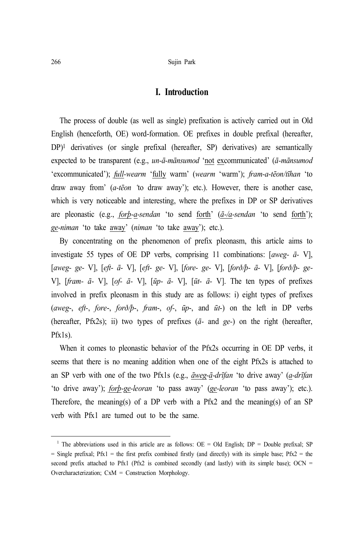## **I. Introduction**

The process of double (as well as single) prefixation is actively carried out in Old English (henceforth, OE) word-formation. OE prefixes in double prefixal (hereafter, DP)1 derivatives (or single prefixal (hereafter, SP) derivatives) are semantically expected to be transparent (e.g., *un-ā-mānsumod* 'not excommunicated' (*ā-mānsumod* 'excommunicated'); *full-wearm* 'fully warm' (*wearm* 'warm'); *fram-a-tēon/tīhan* 'to draw away from' (*a-tēon '*to draw away'); etc.). However, there is another case, which is very noticeable and interesting, where the prefixes in DP or SP derivatives are pleonastic (e.g., *forþ-a-sendan* 'to send forth' (*ā-/a-sendan* 'to send forth'); *ge-niman* 'to take away' (*niman* 'to take away'); etc.).

By concentrating on the phenomenon of prefix pleonasm, this article aims to investigate 55 types of OE DP verbs, comprising 11 combinations: [*aweg- ā-* V], [*aweg- ge-* V], [*eft- ā-* V], [*eft- ge-* V], [*fore- ge-* V], [*forð/þ- ā-* V], [*forð/þ- ge-*V], [*fram- ā-* V], [*of- ā-* V], [*ūp- ā-* V], [*ūt- ā-* V]. The ten types of prefixes involved in prefix pleonasm in this study are as follows: i) eight types of prefixes (*aweg*-, *eft-*, *fore*-, *forð/þ*-, *fram*-, *of-*, *ūp*-, and *ūt*-) on the left in DP verbs (hereafter, Pfx2s); ii) two types of prefixes (*ā-* and *ge-*) on the right (hereafter, Pfx1s).

When it comes to pleonastic behavior of the Pfx2s occurring in OE DP verbs, it seems that there is no meaning addition when one of the eight Pfx2s is attached to an SP verb with one of the two Pfx1s (e.g., *āweg-ā-drīfan* 'to drive away' (*a-drīfan* 'to drive away'); *forþ-ge-leoran* 'to pass away' (*ge-leoran* 'to pass away'); etc.). Therefore, the meaning(s) of a DP verb with a Pfx2 and the meaning(s) of an SP verb with Pfx1 are turned out to be the same.

<sup>&</sup>lt;sup>1</sup> The abbreviations used in this article are as follows:  $OE = Old$  English;  $DP = Double$  prefixal; SP  $=$  Single prefixal; Pfx1  $=$  the first prefix combined firstly (and directly) with its simple base; Pfx2  $=$  the second prefix attached to Pfx1 (Pfx2 is combined secondly (and lastly) with its simple base); OCN = Overcharacterization; CxM = Construction Morphology.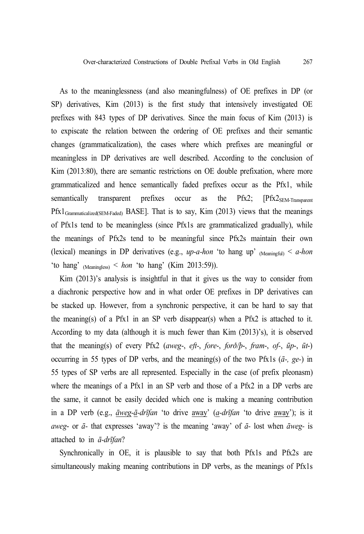As to the meaninglessness (and also meaningfulness) of OE prefixes in DP (or SP) derivatives, Kim (2013) is the first study that intensively investigated OE prefixes with 843 types of DP derivatives. Since the main focus of Kim (2013) is to expiscate the relation between the ordering of OE prefixes and their semantic changes (grammaticalization), the cases where which prefixes are meaningful or meaningless in DP derivatives are well described. According to the conclusion of Kim (2013:80), there are semantic restrictions on OE double prefixation, where more grammaticalized and hence semantically faded prefixes occur as the Pfx1, while semantically transparent prefixes occur as the  $PrX2$ ;  $[PrX2_{SEM-Transparent}$  $Pfx1_{Grammaticalized(SEM-Faded)}$  BASE]. That is to say, Kim (2013) views that the meanings of Pfx1s tend to be meaningless (since Pfx1s are grammaticalized gradually), while the meanings of Pfx2s tend to be meaningful since Pfx2s maintain their own (lexical) meanings in DP derivatives (e.g.,  $up-a-hon$  'to hang up'  $_{(Meaningful)} < a-hon$ 'to hang' (Meaningless) < *hon* 'to hang' (Kim 2013:59)).

Kim (2013)'s analysis is insightful in that it gives us the way to consider from a diachronic perspective how and in what order OE prefixes in DP derivatives can be stacked up. However, from a synchronic perspective, it can be hard to say that the meaning(s) of a Pfx1 in an SP verb disappear(s) when a Pfx2 is attached to it. According to my data (although it is much fewer than Kim (2013)'s), it is observed that the meaning(s) of every Pfx2 (*aweg*-, *eft-*, *fore*-, *forð/þ*-, *fram*-, *of-*, *ūp*-, *ūt*-) occurring in 55 types of DP verbs, and the meaning(s) of the two Pfx1s (*ā-, ge-*) in 55 types of SP verbs are all represented. Especially in the case (of prefix pleonasm) where the meanings of a Pfx1 in an SP verb and those of a Pfx2 in a DP verbs are the same, it cannot be easily decided which one is making a meaning contribution in a DP verb (e.g., *āweg-ā-drīfan* 'to drive away' (*a-drīfan* 'to drive away'); is it *aweg*- or *ā-* that expresses 'away'? is the meaning 'away' of *ā-* lost when *āweg-* is attached to in *ā-drīfan*?

Synchronically in OE, it is plausible to say that both Pfx1s and Pfx2s are simultaneously making meaning contributions in DP verbs, as the meanings of Pfx1s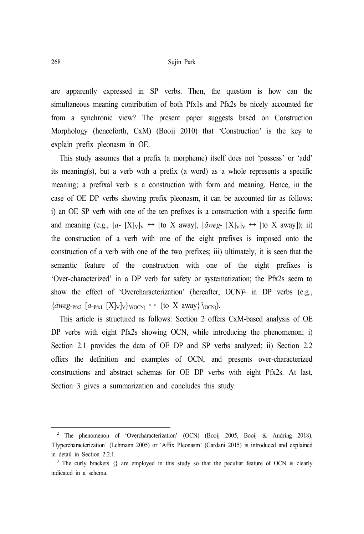are apparently expressed in SP verbs. Then, the question is how can the simultaneous meaning contribution of both Pfx1s and Pfx2s be nicely accounted for from a synchronic view? The present paper suggests based on Construction Morphology (henceforth, CxM) (Booij 2010) that 'Construction' is the key to explain prefix pleonasm in OE.

This study assumes that a prefix (a morpheme) itself does not 'possess' or 'add' its meaning(s), but a verb with a prefix (a word) as a whole represents a specific meaning; a prefixal verb is a construction with form and meaning. Hence, in the case of OE DP verbs showing prefix pleonasm, it can be accounted for as follows: i) an OE SP verb with one of the ten prefixes is a construction with a specific form and meaning (e.g.,  $[a- [X]_V]_V \leftrightarrow [$ to X away],  $[\bar{a}weg- [X]_V]_V \leftrightarrow [$ to X away]); ii) the construction of a verb with one of the eight prefixes is imposed onto the construction of a verb with one of the two prefixes; iii) ultimately, it is seen that the semantic feature of the construction with one of the eight prefixes is 'Over-characterized' in a DP verb for safety or systematization; the Pfx2s seem to show the effect of 'Overcharacterization' (hereafter, OCN)2 in DP verbs (e.g.,  ${\{\bar{a}weg_{\text{PRX}} \ [\bar{a}_{\text{PRX}} \ [X]_V]\}_V}$ <sub>V(OCN)</sub>  $\leftrightarrow$  {to X away}<sup>3</sup><sub>(OCN)</sub>).

This article is structured as follows: Section 2 offers CxM-based analysis of OE DP verbs with eight Pfx2s showing OCN, while introducing the phenomenon; i) Section 2.1 provides the data of OE DP and SP verbs analyzed; ii) Section 2.2 offers the definition and examples of OCN, and presents over-characterized constructions and abstract schemas for OE DP verbs with eight Pfx2s. At last, Section 3 gives a summarization and concludes this study.

<sup>&</sup>lt;sup>2</sup> The phenomenon of 'Overcharacterization' (OCN) (Booij 2005, Booij & Audring 2018), 'Hypercharacterization' (Lehmann 2005) or 'Affix Pleonasm' (Gardani 2015) is introduced and explained in detail in Section 2.2.1.

<sup>&</sup>lt;sup>3</sup> The curly brackets {} are employed in this study so that the peculiar feature of OCN is clearly indicated in a schema.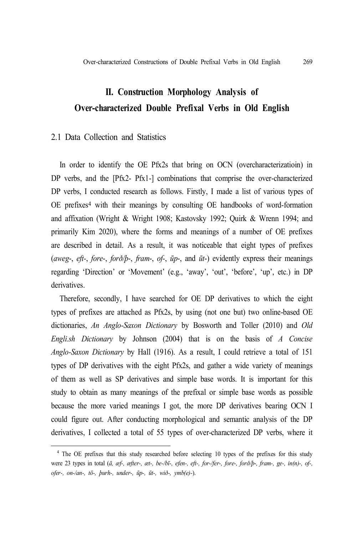## **II. Construction Morphology Analysis of Over-characterized Double Prefixal Verbs in Old English**

## 2.1 Data Collection and Statistics

In order to identify the OE Pfx2s that bring on OCN (overcharacterizatioin) in DP verbs, and the [Pfx2- Pfx1-] combinations that comprise the over-characterized DP verbs, I conducted research as follows. Firstly, I made a list of various types of OE prefixes 4 with their meanings by consulting OE handbooks of word-formation and affixation (Wright & Wright 1908; Kastovsky 1992; Quirk & Wrenn 1994; and primarily Kim 2020), where the forms and meanings of a number of OE prefixes are described in detail. As a result, it was noticeable that eight types of prefixes (*aweg*-, *eft-*, *fore*-, *forð/þ*-, *fram*-, *of-*, *ūp*-, and *ūt*-) evidently express their meanings regarding 'Direction' or 'Movement' (e.g., 'away', 'out', 'before', 'up', etc.) in DP derivatives.

Therefore, secondly, I have searched for OE DP derivatives to which the eight types of prefixes are attached as Pfx2s, by using (not one but) two online-based OE dictionaries, *An Anglo-Saxon Dictionary* by Bosworth and Toller (2010) and *Old Engli.sh Dictionary* by Johnson (2004) that is on the basis of *A Concise Anglo-Saxon Dictionary* by Hall (1916). As a result, I could retrieve a total of 151 types of DP derivatives with the eight Pfx2s, and gather a wide variety of meanings of them as well as SP derivatives and simple base words. It is important for this study to obtain as many meanings of the prefixal or simple base words as possible because the more varied meanings I got, the more DP derivatives bearing OCN I could figure out. After conducting morphological and semantic analysis of the DP derivatives, I collected a total of 55 types of over-characterized DP verbs, where it

<sup>&</sup>lt;sup>4</sup> The OE prefixes that this study researched before selecting 10 types of the prefixes for this study were 23 types in total (*ā, æf-, æfter-, æt-, be-/bī-, efen-, eft-, for-/fer-, fore-, forð/þ*-*, fram-, ge-, in(n)-, of-, ofer-, on-/an-, tō-, þurh-, under-, ūp-, ūt-, wið-, ymb(e)-*).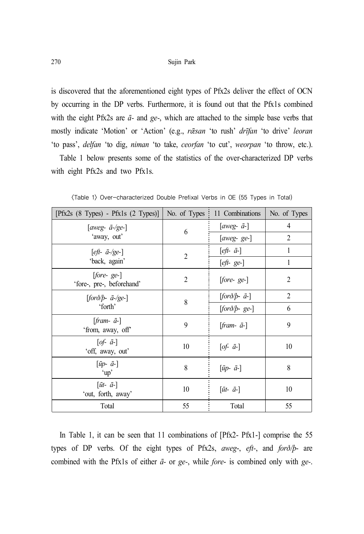is discovered that the aforementioned eight types of Pfx2s deliver the effect of OCN by occurring in the DP verbs. Furthermore, it is found out that the Pfx1s combined with the eight Pfx2s are *ā-* and *ge-*, which are attached to the simple base verbs that mostly indicate 'Motion' or 'Action' (e.g., *rǣsan* 'to rush' *drīfan* 'to drive' *leoran* 'to pass', *delfan* 'to dig, *niman* 'to take, *ceorfan* 'to cut', *weorpan* 'to throw, etc.).

Table 1 below presents some of the statistics of the over-characterized DP verbs with eight Pfx2s and two Pfx1s.

| [ $Pfx2s$ (8 Types) - $Pfx1s$ (2 Types)]               | No. of Types   | 11 Combinations                   | No. of Types   |
|--------------------------------------------------------|----------------|-----------------------------------|----------------|
| [aweg- $\bar{a}$ -/ge-]                                | 6              | [aweg- $\bar{a}$ -]               | 4              |
| 'away, out'                                            |                | $[aweg-ge-]$                      | $\overline{2}$ |
| $[$ <i>eft-</i> $\bar{a}$ -/ge- $]$<br>'back, again'   | $\overline{2}$ | $[$ eft- $\bar{a}$ - $]$          | 1              |
|                                                        |                | $[$ eft-ge- $]$                   |                |
| $[fore - ge-]$<br>'fore-, pre-, beforehand'            | $\overline{2}$ | $[fore \; ge-]$                   | $\overline{2}$ |
| $[for\delta/b-a-\gamma$ ge-]<br>'forth'                | 8              | $[for\delta/b-a-]$                | $\overline{2}$ |
|                                                        |                | $[for\delta/b$ -ge-]              | 6              |
| $[$ <i>fram</i> - $\bar{a}$ - $]$<br>'from, away, off' | 9              | $[$ <i>fram</i> - $\bar{a}$ - $]$ | 9              |
| $[of-\bar{a}-]$<br>'off, away, out'                    | 10             | $[of-\bar{a}-]$                   | 10             |
| $[\bar{u}p-\bar{a}]$<br>'up'                           | 8              | $[\bar{u}p-\bar{a}]$              | 8              |
| $[\bar{u}t$ - $\bar{a}$ -]<br>'out, forth, away'       | 10             | $[\bar{u}t$ - $\bar{a}$ -]        | 10             |
| Total                                                  | 55             | Total                             | 55             |

<Table 1> Over-characterized Double Prefixal Verbs in OE (55 Types in Total)

In Table 1, it can be seen that 11 combinations of [Pfx2- Pfx1-] comprise the 55 types of DP verbs. Of the eight types of Pfx2s, *aweg*-, *eft-*, and *forð/þ*- are combined with the Pfx1s of either *ā-* or *ge-*, while *fore*- is combined only with *ge-*.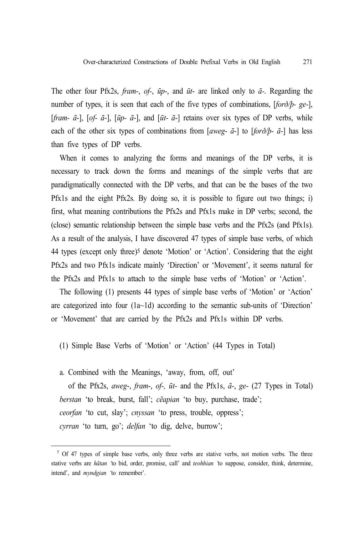The other four Pfx2s, *fram*-, *of-*, *ūp*-, and *ūt*- are linked only to *ā-*. Regarding the number of types, it is seen that each of the five types of combinations, [*forð/þ- ge-*], [*fram- ā*-], [*of- ā*-], [*ūp- ā*-], and [*ūt- ā*-] retains over six types of DP verbs, while each of the other six types of combinations from [*aweg*- *ā*-] to [*forð/þ- ā-*] has less than five types of DP verbs.

When it comes to analyzing the forms and meanings of the DP verbs, it is necessary to track down the forms and meanings of the simple verbs that are paradigmatically connected with the DP verbs, and that can be the bases of the two Pfx1s and the eight Pfx2s. By doing so, it is possible to figure out two things; i) first, what meaning contributions the Pfx2s and Pfx1s make in DP verbs; second, the (close) semantic relationship between the simple base verbs and the Pfx2s (and Pfx1s). As a result of the analysis, I have discovered 47 types of simple base verbs, of which 44 types (except only three)5 denote 'Motion' or 'Action'. Considering that the eight Pfx2s and two Pfx1s indicate mainly 'Direction' or 'Movement', it seems natural for the Pfx2s and Pfx1s to attach to the simple base verbs of 'Motion' or 'Action'.

The following (1) presents 44 types of simple base verbs of 'Motion' or 'Action' are categorized into four  $(1a-1d)$  according to the semantic sub-units of 'Direction' or 'Movement' that are carried by the Pfx2s and Pfx1s within DP verbs.

- (1) Simple Base Verbs of 'Motion' or 'Action' (44 Types in Total)
- a. Combined with the Meanings, 'away, from, off, out'

of the Pfx2s, *aweg*-, *fram*-, *of-, ūt-* and the Pfx1s, *ā-*, *ge-* (27 Types in Total) *berstan* 'to break, burst, fall'; *cēapian* 'to buy, purchase, trade'; *ceorfan* 'to cut, slay'; *cnyssan* 'to press, trouble, oppress'; *cyrran* 'to turn, go'; *delfan* 'to dig, delve, burrow';

<sup>&</sup>lt;sup>5</sup> Of 47 types of simple base verbs, only three verbs are stative verbs, not motion verbs. The three stative verbs are *hātan '*to bid, order, promise, call' and *teohhian '*to suppose, consider, think, determine, intend', and *myndgian '*to remember'.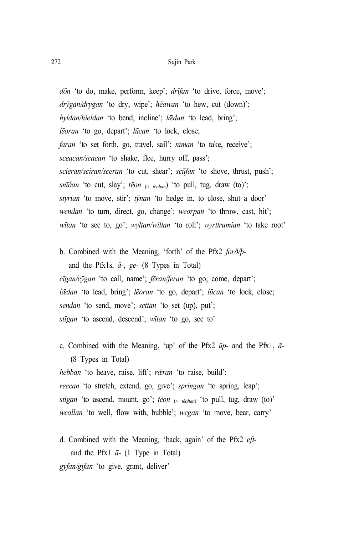#### 272 Sujin Park

*dōn* 'to do, make, perform, keep'; *drīfan* 'to drive, force, move'; *drȳgan/drygan* 'to dry, wipe'; *hēawan* 'to hew, cut (down)'; *hyldan/hieldan* 'to bend, incline'; *l* $\bar{\alpha}$ *dan* 'to lead, bring'; *lēoran* 'to go, depart'; *lūcan* 'to lock, close; *faran* 'to set forth, go, travel, sail'; *niman* 'to take, receive'; *sceacan/scacan* 'to shake, flee, hurry off, pass'; *scieran/sciran/sceran* 'to cut, shear'; *scūfan* 'to shove, thrust, push'; *snīðan* 'to cut, slay'; *tēon* (< *tēohan*) 'to pull, tug, draw (to)'; *styrian* 'to move, stir'; *tynan* 'to hedge in, to close, shut a door' *wendan* 'to turn, direct, go, change'; *weorpan* 'to throw, cast, hit'; *wītan* 'to see to, go'; *wyltan/wiltan* 'to roll'; *wyrttrumian* 'to take root'

b. Combined with the Meaning, 'forth' of the Pfx2 *forð/þ*and the Pfx1s, *ā-*, *ge-* (8 Types in Total) *cīgan/cȳgan* 'to call, name'; *fēran/feran* 'to go, come, depart'; *lǣdan* 'to lead, bring'; *lēoran* 'to go, depart'; *lūcan* 'to lock, close; *sendan* 'to send, move'; *settan* 'to set (up), put'; *stīgan* 'to ascend, descend'; *wītan* 'to go, see to'

- c. Combined with the Meaning, 'up' of the Pfx2 *ūp-* and the Pfx1, *ā-* (8 Types in Total) *hebban* 'to heave, raise, lift'; *rǣran* 'to raise, build'; *reccan* 'to stretch, extend, go, give'; *springan* 'to spring, leap'; *stīgan* 'to ascend, mount, go'; *tēon* (< *tēohan*) 'to pull, tug, draw (to)' *weallan* 'to well, flow with, bubble'; *wegan* 'to move, bear, carry'
- d. Combined with the Meaning, 'back, again' of the Pfx2 *eft*and the Pfx1 *ā-* (1 Type in Total) *gyfan/gifan* 'to give, grant, deliver'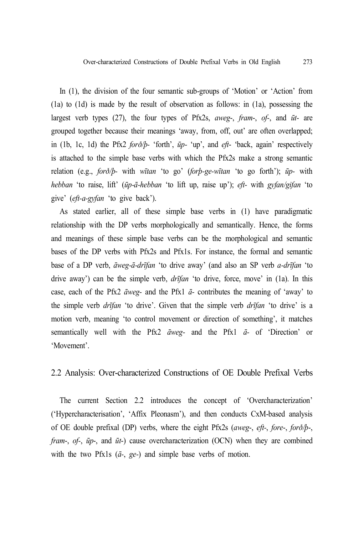In (1), the division of the four semantic sub-groups of 'Motion' or 'Action' from (1a) to (1d) is made by the result of observation as follows: in (1a), possessing the largest verb types (27), the four types of Pfx2s, *aweg*-, *fram*-, *of-*, and *ūt-* are grouped together because their meanings 'away, from, off, out' are often overlapped; in (1b, 1c, 1d) the Pfx2 *forð/þ-* 'forth', *ūp-* 'up', and *eft*- 'back, again' respectively is attached to the simple base verbs with which the Pfx2s make a strong semantic relation (e.g., *forð/þ-* with *wītan* 'to go' (*forþ-ge-wītan* 'to go forth'); *ūp-* with *hebban* 'to raise, lift' (*ūp-ā-hebban* 'to lift up, raise up'); *eft-* with *gyfan/gifan* 'to give' (*eft-a-gyfan* 'to give back').

As stated earlier, all of these simple base verbs in (1) have paradigmatic relationship with the DP verbs morphologically and semantically. Hence, the forms and meanings of these simple base verbs can be the morphological and semantic bases of the DP verbs with Pfx2s and Pfx1s. For instance, the formal and semantic base of a DP verb, *āweg-ā-drīfan* 'to drive away' (and also an SP verb *a-drīfan* 'to drive away') can be the simple verb, *drīfan* 'to drive, force, move' in (1a). In this case, each of the Pfx2 *āweg-* and the Pfx1 *ā-* contributes the meaning of 'away' to the simple verb *drīfan* 'to drive'. Given that the simple verb *drīfan* 'to drive' is a motion verb, meaning 'to control movement or direction of something', it matches semantically well with the Pfx2 *āweg-* and the Pfx1 *ā-* of 'Direction' or 'Movement'.

### 2.2 Analysis: Over-characterized Constructions of OE Double Prefixal Verbs

The current Section 2.2 introduces the concept of 'Overcharacterization' ('Hypercharacterisation', 'Affix Pleonasm'), and then conducts CxM-based analysis of OE double prefixal (DP) verbs, where the eight Pfx2s (*aweg*-, *eft-*, *fore*-, *forð/þ*-, *fram*-, *of-*, *ūp*-, and *ūt*-) cause overcharacterization (OCN) when they are combined with the two Pfx1s (*ā-*, *ge-*) and simple base verbs of motion.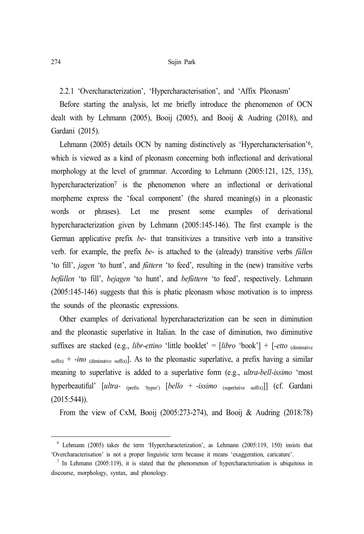2.2.1 'Overcharacterization', 'Hypercharacterisation', and 'Affix Pleonasm'

Before starting the analysis, let me briefly introduce the phenomenon of OCN dealt with by Lehmann (2005), Booij (2005), and Booij & Audring (2018), and Gardani (2015).

Lehmann (2005) details OCN by naming distinctively as 'Hypercharacterisation' 6, which is viewed as a kind of pleonasm concerning both inflectional and derivational morphology at the level of grammar. According to Lehmann (2005:121, 125, 135), hypercharacterization<sup>7</sup> is the phenomenon where an inflectional or derivational morpheme express the 'focal component' (the shared meaning(s) in a pleonastic words or phrases). Let me present some examples of derivational hypercharacterization given by Lehmann (2005:145-146). The first example is the German applicative prefix *be*- that transitivizes a transitive verb into a transitive verb. for example, the prefix *be*- is attached to the (already) transitive verbs *füllen* 'to fill', *jagen* 'to hunt', and *füttern* 'to feed', resulting in the (new) transitive verbs *befüllen* 'to fill', *bejagen* 'to hunt', and *befüttern* 'to feed', respectively. Lehmann (2005:145-146) suggests that this is phatic pleonasm whose motivation is to impress the sounds of the pleonastic expressions.

Other examples of derivational hypercharacterization can be seen in diminution and the pleonastic superlative in Italian. In the case of diminution, two diminutive suffixes are stacked (e.g., *libr-ettino* 'little booklet' =  $[ibro$  'book'] +  $[-etto$  (diminutive  $\sinh x$  + *-ino* (diminutive suffix). As to the pleonastic superlative, a prefix having a similar meaning to superlative is added to a superlative form (e.g., *ultra-bell-issimo* 'most hyperbeautiful' [*ultra-* (prefix 'hyper') [*bello* + -*issimo* (superlative suffix)]] (cf. Gardani (2015:544)).

From the view of CxM, Booij (2005:273-274), and Booij & Audring (2018:78)

<sup>6</sup> Lehmann (2005) takes the term 'Hypercharacterization', as Lehmann (2005:119, 150) insists that 'Overcharacterisation' is not a proper linguistic term because it means 'exaggeration, caricature'.

<sup>&</sup>lt;sup>7</sup> In Lehmann (2005:119), it is stated that the phenomenon of hypercharacterisation is ubiquitous in discourse, morphology, syntax, and phonology.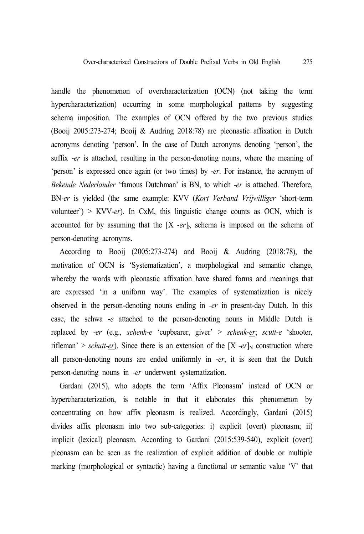handle the phenomenon of overcharacterization (OCN) (not taking the term hypercharacterization) occurring in some morphological patterns by suggesting schema imposition. The examples of OCN offered by the two previous studies (Booij 2005:273-274; Booij & Audring 2018:78) are pleonastic affixation in Dutch acronyms denoting 'person'. In the case of Dutch acronyms denoting 'person', the suffix -*er* is attached, resulting in the person-denoting nouns, where the meaning of 'person' is expressed once again (or two times) by -*er*. For instance, the acronym of *Bekende Nederlander* 'famous Dutchman' is BN, to which -*er* is attached. Therefore, BN-*er* is yielded (the same example: KVV (*Kort Verband Vrijwilliger* 'short-term volunteer') > KVV-*er*). In CxM, this linguistic change counts as OCN, which is accounted for by assuming that the  $[X - er]_N$  schema is imposed on the schema of person-denoting acronyms.

According to Booij (2005:273-274) and Booij & Audring (2018:78), the motivation of OCN is 'Systematization', a morphological and semantic change, whereby the words with pleonastic affixation have shared forms and meanings that are expressed 'in a uniform way'. The examples of systematization is nicely observed in the person-denoting nouns ending in *-er* in present-day Dutch. In this case, the schwa -*e* attached to the person-denoting nouns in Middle Dutch is replaced by *-er* (e.g., *schenk-e* 'cupbearer, giver' > *schenk-er*; *scutt-e* 'shooter, rifleman' > *schutt-er*). Since there is an extension of the  $[X -er]_N$  construction where all person-denoting nouns are ended uniformly in -*er*, it is seen that the Dutch person-denoting nouns in *-er* underwent systematization.

Gardani (2015), who adopts the term 'Affix Pleonasm' instead of OCN or hypercharacterization, is notable in that it elaborates this phenomenon by concentrating on how affix pleonasm is realized. Accordingly, Gardani (2015) divides affix pleonasm into two sub-categories: i) explicit (overt) pleonasm; ii) implicit (lexical) pleonasm. According to Gardani (2015:539-540), explicit (overt) pleonasm can be seen as the realization of explicit addition of double or multiple marking (morphological or syntactic) having a functional or semantic value 'V' that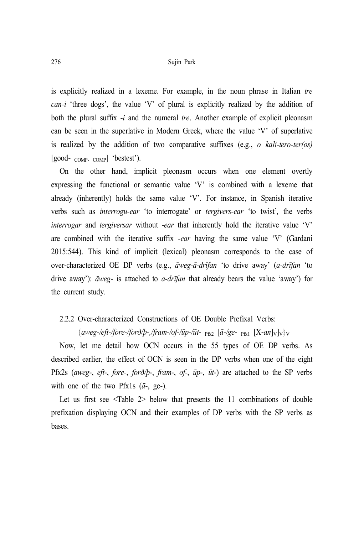#### 276 Sujin Park

is explicitly realized in a lexeme. For example, in the noun phrase in Italian *tre can-i* 'three dogs', the value 'V' of plural is explicitly realized by the addition of both the plural suffix -*i* and the numeral *tre*. Another example of explicit pleonasm can be seen in the superlative in Modern Greek, where the value 'V' of superlative is realized by the addition of two comparative suffixes (e.g., *o kali-tero-ter(os)* [good- COMP- COMP] 'bestest').

On the other hand, implicit pleonasm occurs when one element overtly expressing the functional or semantic value 'V' is combined with a lexeme that already (inherently) holds the same value 'V'. For instance, in Spanish iterative verbs such as *interrogu-ear* 'to interrogate' or *tergivers-ear* 'to twist'*,* the verbs *interrogar* and *tergiversar* without *-ear* that inherently hold the iterative value 'V' are combined with the iterative suffix *-ear* having the same value 'V' (Gardani 2015:544). This kind of implicit (lexical) pleonasm corresponds to the case of over-characterized OE DP verbs (e.g., *āweg-ā-drīfan* 'to drive away' (*a-drīfan* 'to drive away'): *āweg-* is attached to *a-drīfan* that already bears the value 'away') for the current study.

#### 2.2.2 Over-characterized Constructions of OE Double Prefixal Verbs:

## {*aweg-/eft-/fore-/forð/þ-,/fram-/of-/ūp-/ūt*- Pfx2 [*ā-/ge*- Pfx1 [X-*an*]V]V}<sup>V</sup>

Now, let me detail how OCN occurs in the 55 types of OE DP verbs. As described earlier, the effect of OCN is seen in the DP verbs when one of the eight Pfx2s (*aweg*-, *eft*-, *fore-*, *forð/þ*-, *fram*-, *of-*, *ūp*-, *ūt*-) are attached to the SP verbs with one of the two Pfx1s (*ā-*, ge*-*).

Let us first see <Table 2> below that presents the 11 combinations of double prefixation displaying OCN and their examples of DP verbs with the SP verbs as bases.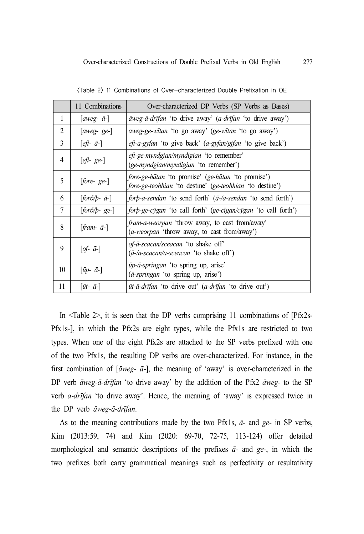|                | 11 Combinations                   | Over-characterized DP Verbs (SP Verbs as Bases)                                                                |  |
|----------------|-----------------------------------|----------------------------------------------------------------------------------------------------------------|--|
| 1              | [aweg- $\bar{a}$ -]               | $\bar{a}$ weg- $\bar{a}$ -drīfan 'to drive away' (a-drīfan 'to drive away')                                    |  |
| $\overline{2}$ | $[aweg-ge-]$                      | <i>aweg-ge-witan</i> 'to go away' ( <i>ge-witan</i> 'to go away')                                              |  |
| 3              | $[$ <i>eft</i> - $\bar{a}$ - $]$  | <i>eft-a-gyfan</i> 'to give back' ( <i>a-gyfan/gifan</i> 'to give back')                                       |  |
| 4              | $[$ <i>eft</i> -ge- $]$           | <i>eft-ge-myndgian/myndigian</i> 'to remember'<br>(ge-myndgian/myndigian 'to remember')                        |  |
| 5              | $[fore - ge-]$                    | fore-ge-hātan 'to promise' (ge-hātan 'to promise')<br>fore-ge-teohhian 'to destine' (ge-teohhian 'to destine') |  |
| 6              | $[for\delta/b-a-]$                | <i>forb-a-sendan</i> 'to send forth' $(\bar{a}$ - <i>d-sendan</i> 'to send forth')                             |  |
| 7              | $[for\delta/b$ -ge- $]$           | <i>forb-ge-cygan</i> 'to call forth' ( <i>ge-cygan</i> / <i>cygan</i> 'to call forth')                         |  |
| 8              | $[$ <i>fram</i> - $\bar{a}$ - $]$ | <i>fram-a-weorpan</i> 'throw away, to cast from/away'<br>( <i>a-weorpan</i> 'throw away, to cast from/away')   |  |
| 9              | $[of-\bar{a}-]$                   | <i>of-ā-scacan/sceacan</i> 'to shake off'<br>$(\bar{a}$ -/a-scacan/a-sceacan 'to shake off')                   |  |
| 10             | $[\bar{u}p-\bar{a}$ -]            | ūp-ā-springan 'to spring up, arise'<br>$(\bar{a}$ -springan 'to spring up, arise')                             |  |
| 11             | $[\bar{u}t$ - $\bar{a}$ -]        | ūt-ā-drīfan 'to drive out' (a-drīfan 'to drive out')                                                           |  |

<Table 2> 11 Combinations of Over-characterized Double Prefixation in OE

In <Table 2>, it is seen that the DP verbs comprising 11 combinations of [Pfx2s-Pfx1s-], in which the Pfx2s are eight types, while the Pfx1s are restricted to two types. When one of the eight Pfx2s are attached to the SP verbs prefixed with one of the two Pfx1s, the resulting DP verbs are over-characterized. For instance, in the first combination of [*āweg- ā-*], the meaning of 'away' is over-characterized in the DP verb *āweg-ā-drīfan* 'to drive away' by the addition of the Pfx2 *āweg-* to the SP verb *a-drīfan* 'to drive away'. Hence, the meaning of 'away' is expressed twice in the DP verb *āweg-ā-drīfan*.

As to the meaning contributions made by the two Pfx1s, *ā-* and *ge-* in SP verbs, Kim (2013:59, 74) and Kim (2020: 69-70, 72-75, 113-124) offer detailed morphological and semantic descriptions of the prefixes *ā-* and *ge-*, in which the two prefixes both carry grammatical meanings such as perfectivity or resultativity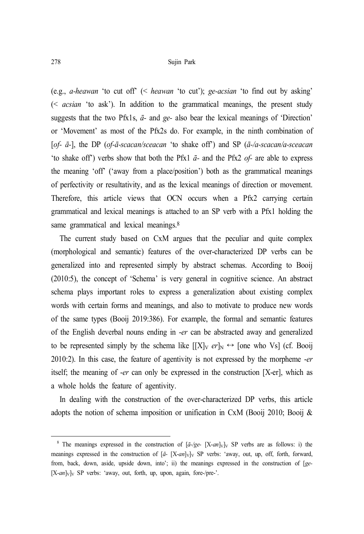(e.g., *a-heawan* 'to cut off' (< *heawan* 'to cut'); *ge-acsian* 'to find out by asking' (< *acsian* 'to ask'). In addition to the grammatical meanings, the present study suggests that the two Pfx1s, *ā-* and *ge-* also bear the lexical meanings of 'Direction' or 'Movement' as most of the Pfx2s do. For example, in the ninth combination of [*of- ā-*], the DP (*of-ā-scacan/sceacan* 'to shake off') and SP (*ā-/a-scacan/a-sceacan* 'to shake off') verbs show that both the Pfx1 *ā-* and the Pfx2 *of-* are able to express the meaning 'off' ('away from a place/position') both as the grammatical meanings of perfectivity or resultativity, and as the lexical meanings of direction or movement. Therefore, this article views that OCN occurs when a Pfx2 carrying certain grammatical and lexical meanings is attached to an SP verb with a Pfx1 holding the same grammatical and lexical meanings.<sup>8</sup>

The current study based on CxM argues that the peculiar and quite complex (morphological and semantic) features of the over-characterized DP verbs can be generalized into and represented simply by abstract schemas. According to Booij (2010:5), the concept of 'Schema' is very general in cognitive science. An abstract schema plays important roles to express a generalization about existing complex words with certain forms and meanings, and also to motivate to produce new words of the same types (Booij 2019:386). For example, the formal and semantic features of the English deverbal nouns ending in -*er* can be abstracted away and generalized to be represented simply by the schema like  $[[X]_V \, er]_N \leftrightarrow$  [one who Vs] (cf. Booij 2010:2). In this case, the feature of agentivity is not expressed by the morpheme -*er* itself; the meaning of -*er* can only be expressed in the construction [X-er], which as a whole holds the feature of agentivity.

In dealing with the construction of the over-characterized DP verbs, this article adopts the notion of schema imposition or unification in CxM (Booij 2010; Booij &

<sup>&</sup>lt;sup>8</sup> The meanings expressed in the construction of  $[\bar{a}$ -/ge- $[X-an]_{V}]_{V}$  SP verbs are as follows: i) the meanings expressed in the construction of  $[\bar{a}$ - [X-an]<sub>V</sub>]<sub>V</sub> SP verbs: 'away, out, up, off, forth, forward, from, back, down, aside, upside down, into'; ii) the meanings expressed in the construction of [*ge-* [X-*an*]<sub>V</sub>]<sub>V</sub> SP verbs: 'away, out, forth, up, upon, again, fore-/pre-'.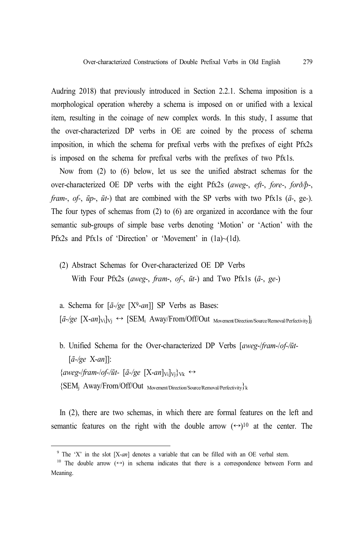Audring 2018) that previously introduced in Section 2.2.1. Schema imposition is a morphological operation whereby a schema is imposed on or unified with a lexical item, resulting in the coinage of new complex words. In this study, I assume that the over-characterized DP verbs in OE are coined by the process of schema imposition, in which the schema for prefixal verbs with the prefixes of eight Pfx2s is imposed on the schema for prefixal verbs with the prefixes of two Pfx1s.

Now from (2) to (6) below, let us see the unified abstract schemas for the over-characterized OE DP verbs with the eight Pfx2s (*aweg*-, *eft*-, *fore-*, *forð/þ*-, *fram*-, *of-*, *ūp*-, *ūt*-) that are combined with the SP verbs with two Pfx1s (*ā-*, ge*-*). The four types of schemas from (2) to (6) are organized in accordance with the four semantic sub-groups of simple base verbs denoting 'Motion' or 'Action' with the Pfx2s and Pfx1s of 'Direction' or 'Movement' in (1a)~(1d).

- (2) Abstract Schemas for Over-characterized OE DP Verbs With Four Pfx2s (*aweg*-, *fram*-, *of-*, *ūt-*) and Two Pfx1s (*ā-*, *ge-*)
- a. Schema for [*ā-/ge* [X9-*an*]] SP Verbs as Bases:
- $[\bar{a}$ -/ge  $[X-an]_{\text{Vi}}]_{\text{Vi}} \leftrightarrow [\text{SEM}_i \text{Away}/\text{From}/\text{Off}/\text{Out}_{\text{Movement/Direction}/\text{Source}/\text{Removal}/\text{Perfectivity}}]$
- b. Unified Schema for the Over-characterized DP Verbs [*aweg*-/*fram*-/*of-/ūt-* [*ā-/ge* X-*an*]]:  $\{\text{aweg-fram-of-}/\bar{u}t - [\bar{a} - \text{ge } [X-\alpha n]_{\text{Vi}}\}_{\text{Vk}} \leftrightarrow$  ${SEM_i \; Away/From/Off/Out \;_{Movement/Direction/Source/Removal/Perfectivity}}$

In (2), there are two schemas, in which there are formal features on the left and semantic features on the right with the double arrow  $(\rightarrow)^{10}$  at the center. The

<sup>9</sup> The 'X' in the slot [X-*an*] denotes a variable that can be filled with an OE verbal stem.

<sup>&</sup>lt;sup>10</sup> The double arrow  $( \leftrightarrow )$  in schema indicates that there is a correspondence between Form and Meaning.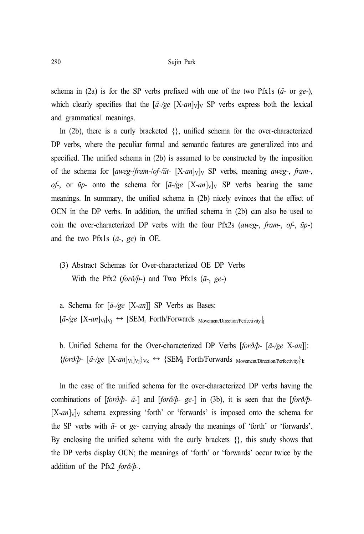schema in (2a) is for the SP verbs prefixed with one of the two Pfx1s (*ā-* or *ge-*), which clearly specifies that the  $[\bar{a}$ -/ge  $[X-an]_{V}]_{V}$  SP verbs express both the lexical and grammatical meanings.

In (2b), there is a curly bracketed  $\{\}$ , unified schema for the over-characterized DP verbs, where the peculiar formal and semantic features are generalized into and specified. The unified schema in (2b) is assumed to be constructed by the imposition of the schema for [*aweg-/fram-/of-/ūt-* [X-*an*]<sub>V</sub>]<sub>V</sub> SP verbs, meaning *aweg-*, *fram-*, *of*-, or  $\bar{u}$ - onto the schema for  $[\bar{a}$ -/ge  $[X-an]_{V}]_{V}$  SP verbs bearing the same meanings. In summary, the unified schema in (2b) nicely evinces that the effect of OCN in the DP verbs. In addition, the unified schema in (2b) can also be used to coin the over-characterized DP verbs with the four Pfx2s (*aweg*-, *fram*-, *of-*, *ūp*-) and the two Pfx1s (*ā-*, *ge*) in OE.

- (3) Abstract Schemas for Over-characterized OE DP Verbs With the Pfx2 (*forð/þ-*) and Two Pfx1s (*ā-*, *ge-*)
- a. Schema for [*ā-/ge* [X-*an*]] SP Verbs as Bases:  $[\bar{a}$ -/ge  $[X-an]_{V_i}]_{V_i} \leftrightarrow [SEM_i$  Forth/Forwards  $M_{{\text{overent}}/Direction/Perfectivity}}]$

b. Unified Schema for the Over-characterized DP Verbs [*forð/þ-* [*ā-/ge* X-*an*]]:  ${for\delta}/p$ - [*ā-/ge* [X-*an*]<sub>Vi</sub>]<sub>Vj</sub>}<sub>Vk</sub>  $\leftrightarrow$  {SEM<sub>j</sub> Forth/Forwards <sub>Movement/Direction/Perfectivity}k</sub>

In the case of the unified schema for the over-characterized DP verbs having the combinations of [*forð/þ- ā-*] and [*forð/þ- ge-*] in (3b), it is seen that the [*forð/þ-*  $[X-an]_{V}$  schema expressing 'forth' or 'forwards' is imposed onto the schema for the SP verbs with *ā-* or *ge-* carrying already the meanings of 'forth' or 'forwards'. By enclosing the unified schema with the curly brackets {}, this study shows that the DP verbs display OCN; the meanings of 'forth' or 'forwards' occur twice by the addition of the Pfx2 *forð/þ-*.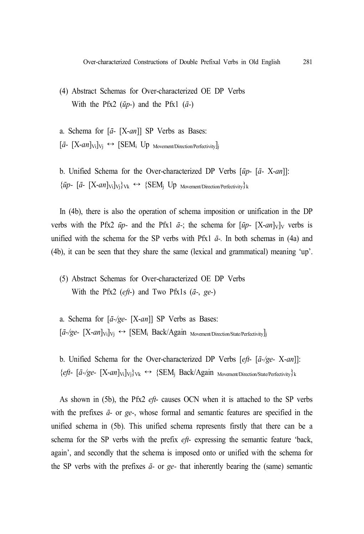- (4) Abstract Schemas for Over-characterized OE DP Verbs With the Pfx2 (*ūp-*) and the Pfx1 (*ā-*)
- a. Schema for [*ā-* [X-*an*]] SP Verbs as Bases:  $[\bar{a} - [X-an]_{\rm Vi}]_{\rm Vi} \leftrightarrow [SEM_i \text{ Up }$ Movement/Direction/Perfectivity
- b. Unified Schema for the Over-characterized DP Verbs [*ūp-* [*ā-* X-*an*]]:  ${\bar{u}}$ *i a*- [X-*an*]<sub>Vi</sub>]<sub>Vi</sub>}<sub>Vk</sub>  $\leftrightarrow$  {SEM<sub>i</sub> Up <sub>Movement/Direction/Perfectivity}k</sub>

In (4b), there is also the operation of schema imposition or unification in the DP verbs with the Pfx2  $\bar{u}p$ - and the Pfx1  $\bar{a}$ -; the schema for  $[\bar{u}p$ -  $[X-an]_{V}]_{V}$  verbs is unified with the schema for the SP verbs with Pfx1  $\bar{a}$ -. In both schemas in (4a) and (4b), it can be seen that they share the same (lexical and grammatical) meaning 'up'.

- (5) Abstract Schemas for Over-characterized OE DP Verbs With the Pfx2 (*eft*-) and Two Pfx1s (*ā-*, *ge-*)
- a. Schema for [*ā-/ge-* [X-*an*]] SP Verbs as Bases:  $[\bar{a}$ -/ge- $[X-an]_{\rm Vi}]_{\rm Vi} \leftrightarrow [SEM_i$  Back/Again Movement/Direction/State/Perfectivity]j

b. Unified Schema for the Over-characterized DP Verbs [*eft*- [*ā-/ge-* X-*an*]]: {*eft*- [*ā-/ge-* [X-*an*]Vi]Vj}Vk ↔ {SEM<sup>j</sup> Back/Again Movement/Direction/State/Perfectivity}<sup>k</sup>

As shown in (5b), the Pfx2 *eft*- causes OCN when it is attached to the SP verbs with the prefixes *ā-* or *ge-*, whose formal and semantic features are specified in the unified schema in (5b). This unified schema represents firstly that there can be a schema for the SP verbs with the prefix *eft*- expressing the semantic feature 'back, again', and secondly that the schema is imposed onto or unified with the schema for the SP verbs with the prefixes *ā-* or *ge-* that inherently bearing the (same) semantic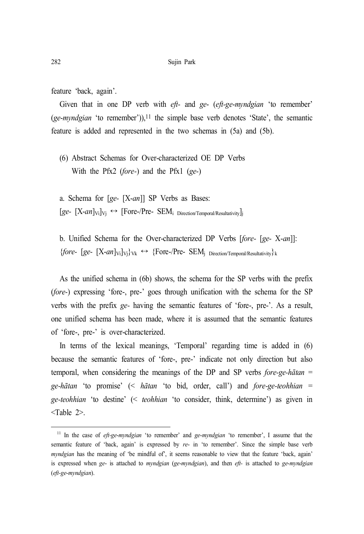feature 'back, again'.

Given that in one DP verb with *eft-* and *ge*- (*eft-ge*-*myndgian* 'to remember' (*ge*-*myndgian* 'to remember')), 11 the simple base verb denotes 'State', the semantic feature is added and represented in the two schemas in (5a) and (5b).

(6) Abstract Schemas for Over-characterized OE DP Verbs With the Pfx2 (*fore-*) and the Pfx1 (*ge-*)

a. Schema for [*ge-* [X-*an*]] SP Verbs as Bases:  $[ge [X-an]_{\text{Vi}}]_{\text{Vi}} \leftrightarrow [Free-Pre-$  SEM<sub>i</sub> Direction/Temporal/Resultativity]j

b. Unified Schema for the Over-characterized DP Verbs [*fore-* [*ge-* X-*an*]]:  ${\lbrace fore- [ge- [X-an]_{Vi}]_{Vi}\rbrace}_{Vk} \leftrightarrow {\lbrace Force-/Pre- SEM_{j-Direction/Temporal/Resultativity}\rbrace}_{k}$ 

As the unified schema in (6b) shows, the schema for the SP verbs with the prefix (*fore-*) expressing 'fore-, pre-' goes through unification with the schema for the SP verbs with the prefix *ge-* having the semantic features of 'fore-, pre-'. As a result, one unified schema has been made, where it is assumed that the semantic features of 'fore-, pre-' is over-characterized.

In terms of the lexical meanings, 'Temporal' regarding time is added in (6) because the semantic features of 'fore-, pre-' indicate not only direction but also temporal, when considering the meanings of the DP and SP verbs *fore-ge-hātan* = *ge-hātan* 'to promise' (< *hātan* 'to bid, order, call') and *fore-ge-teohhian* = *ge-teohhian* 'to destine' (< *teohhian* 'to consider, think, determine') as given in <Table 2>.

<sup>11</sup> In the case of *eft-ge*-*myndgian* 'to remember' and *ge*-*myndgian* 'to remember', I assume that the semantic feature of 'back, again' is expressed by *re*- in 'to remember'. Since the simple base verb *myndgian* has the meaning of 'be mindful of', it seems reasonable to view that the feature 'back, again' is expressed when *ge*- is attached to *myndgian* (*ge*-*myndgian*), and then *eft-* is attached to *ge*-*myndgian* (*eft-ge*-*myndgian*).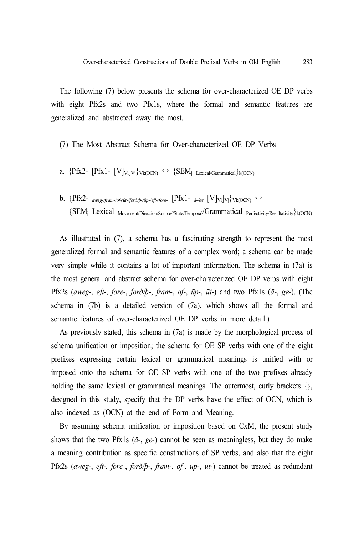The following (7) below presents the schema for over-characterized OE DP verbs with eight Pfx2s and two Pfx1s, where the formal and semantic features are generalized and abstracted away the most.

- (7) The Most Abstract Schema for Over-characterized OE DP Verbs
- a.  ${PrX2- [Pfx1- [V]_{Vi}]_{Vi}}_{Vk(OCN)} \leftrightarrow {SEM_i$  Lexical/Grammatical  $}_{k(OCN)}$
- b.  ${Pfx2-}$  *aweg-/fram-/of-/ūt-/forð/þ-/ūp-/eft-/fore*  ${Pfx1-}$  *ā-/ge*  ${Vv_i[v_i]v_j}$  vk(OCN) ↔ {SEM<sup>j</sup> Lexical Movement/Direction/Source//State/Temporal/Grammatical Perfectivity/Resultativity}k(OCN)

As illustrated in (7), a schema has a fascinating strength to represent the most generalized formal and semantic features of a complex word; a schema can be made very simple while it contains a lot of important information. The schema in (7a) is the most general and abstract schema for over-characterized OE DP verbs with eight Pfx2s (*aweg*-, *eft*-, *fore-*, *forð/þ*-, *fram*-, *of-*, *ūp*-, *ūt*-) and two Pfx1s (*ā-*, *ge-*). (The schema in (7b) is a detailed version of (7a), which shows all the formal and semantic features of over-characterized OE DP verbs in more detail.)

As previously stated, this schema in (7a) is made by the morphological process of schema unification or imposition; the schema for OE SP verbs with one of the eight prefixes expressing certain lexical or grammatical meanings is unified with or imposed onto the schema for OE SP verbs with one of the two prefixes already holding the same lexical or grammatical meanings. The outermost, curly brackets  $\{\}$ , designed in this study, specify that the DP verbs have the effect of OCN, which is also indexed as (OCN) at the end of Form and Meaning.

By assuming schema unification or imposition based on CxM, the present study shows that the two Pfx1s (*ā-*, *ge-*) cannot be seen as meaningless, but they do make a meaning contribution as specific constructions of SP verbs, and also that the eight Pfx2s (*aweg*-, *eft*-, *fore-*, *forð/þ*-, *fram*-, *of-*, *ūp*-, *ūt*-) cannot be treated as redundant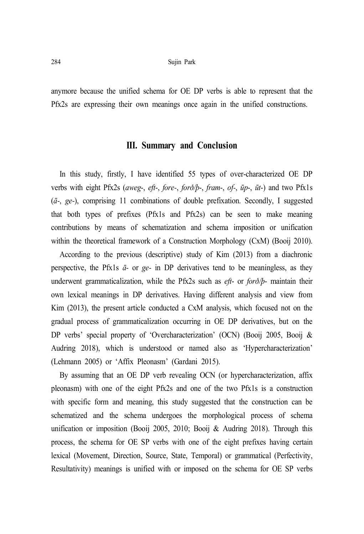anymore because the unified schema for OE DP verbs is able to represent that the Pfx2s are expressing their own meanings once again in the unified constructions.

## **III. Summary and Conclusion**

In this study, firstly, I have identified 55 types of over-characterized OE DP verbs with eight Pfx2s (*aweg*-, *eft*-, *fore-*, *forð/þ*-, *fram*-, *of-*, *ūp*-, *ūt*-) and two Pfx1s (*ā-*, *ge-*), comprising 11 combinations of double prefixation. Secondly, I suggested that both types of prefixes (Pfx1s and Pfx2s) can be seen to make meaning contributions by means of schematization and schema imposition or unification within the theoretical framework of a Construction Morphology (CxM) (Booij 2010).

According to the previous (descriptive) study of Kim (2013) from a diachronic perspective, the Pfx1s *ā-* or *ge-* in DP derivatives tend to be meaningless, as they underwent grammaticalization, while the Pfx2s such as *eft*- or *forð/þ*- maintain their own lexical meanings in DP derivatives. Having different analysis and view from Kim (2013), the present article conducted a CxM analysis, which focused not on the gradual process of grammaticalization occurring in OE DP derivatives, but on the DP verbs' special property of 'Overcharacterization' (OCN) (Booij 2005, Booij & Audring 2018), which is understood or named also as 'Hypercharacterization' (Lehmann 2005) or 'Affix Pleonasm' (Gardani 2015).

By assuming that an OE DP verb revealing OCN (or hypercharacterization, affix pleonasm) with one of the eight Pfx2s and one of the two Pfx1s is a construction with specific form and meaning, this study suggested that the construction can be schematized and the schema undergoes the morphological process of schema unification or imposition (Booij 2005, 2010; Booij & Audring 2018). Through this process, the schema for OE SP verbs with one of the eight prefixes having certain lexical (Movement, Direction, Source, State, Temporal) or grammatical (Perfectivity, Resultativity) meanings is unified with or imposed on the schema for OE SP verbs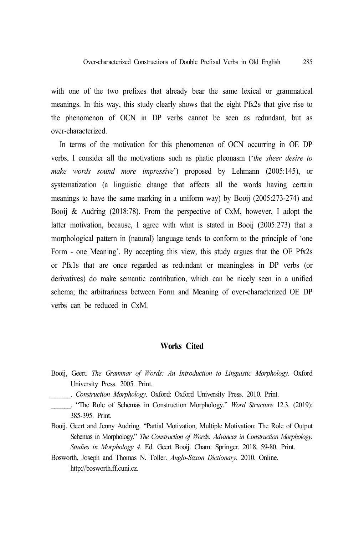with one of the two prefixes that already bear the same lexical or grammatical meanings. In this way, this study clearly shows that the eight Pfx2s that give rise to the phenomenon of OCN in DP verbs cannot be seen as redundant, but as over-characterized.

In terms of the motivation for this phenomenon of OCN occurring in OE DP verbs, I consider all the motivations such as phatic pleonasm ('*the sheer desire to make words sound more impressive*') proposed by Lehmann (2005:145), or systematization (a linguistic change that affects all the words having certain meanings to have the same marking in a uniform way) by Booij (2005:273-274) and Booij & Audring (2018:78). From the perspective of CxM, however, I adopt the latter motivation, because, I agree with what is stated in Booij (2005:273) that a morphological pattern in (natural) language tends to conform to the principle of 'one Form - one Meaning'. By accepting this view, this study argues that the OE Pfx2s or Pfx1s that are once regarded as redundant or meaningless in DP verbs (or derivatives) do make semantic contribution, which can be nicely seen in a unified schema; the arbitrariness between Form and Meaning of over-characterized OE DP verbs can be reduced in CxM.

#### **Works Cited**

Booij, Geert. *The Grammar of Words: An Introduction to Linguistic Morphology*. Oxford University Press. 2005. Print.

\_\_\_\_\_\_. *Construction Morphology*. Oxford: Oxford University Press. 2010. Print.

- \_\_\_\_\_\_. "The Role of Schemas in Construction Morphology." *Word Structure* 12.3. (2019): 385-395. Print.
- Booij, Geert and Jenny Audring. "Partial Motivation, Multiple Motivation: The Role of Output Schemas in Morphology." *The Construction of Words: Advances in Construction Morphology. Studies in Morphology 4.* Ed. Geert Booij. Cham: Springer. 2018. 59-80. Print.
- Bosworth, Joseph and Thomas N. Toller. *Anglo-Saxon Dictionary*. 2010. Online. http://bosworth.ff.cuni.cz.